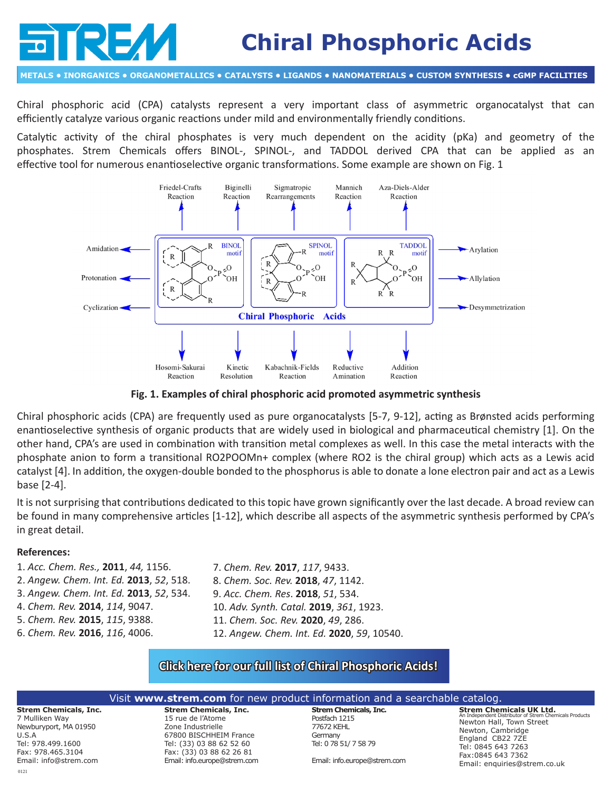# **Chiral Phosphoric Acids**

**METALS • INORGANICS • ORGANOMETALLICS • CATALYSTS • LIGANDS • NANOMATERIALS • CUSTOM SYNTHESIS • cGMP FACILITIES**

Chiral phosphoric acid (CPA) catalysts represent a very important class of asymmetric organocatalyst that can efficiently catalyze various organic reactions under mild and environmentally friendly conditions.

Catalytic activity of the chiral phosphates is very much dependent on the acidity (pKa) and geometry of the phosphates. Strem Chemicals offers BINOL-, SPINOL-, and TADDOL derived CPA that can be applied as an effective tool for numerous enantioselective organic transformations. Some example are shown on Fig. 1



**Fig. 1. Examples of chiral phosphoric acid promoted asymmetric synthesis**

Chiral phosphoric acids (CPA) are frequently used as pure organocatalysts [5-7, 9-12], acting as Brønsted acids performing enantioselective synthesis of organic products that are widely used in biological and pharmaceutical chemistry [1]. On the other hand, CPA's are used in combination with transition metal complexes as well. In this case the metal interacts with the phosphate anion to form a transitional RO2POOMn+ complex (where RO2 is the chiral group) which acts as a Lewis acid catalyst [4]. In addition, the oxygen-double bonded to the phosphorus is able to donate a lone electron pair and act as a Lewis base [2-4].

It is not surprising that contributions dedicated to this topic have grown significantly over the last decade. A broad review can be found in many comprehensive articles [1-12], which describe all aspects of the asymmetric synthesis performed by CPA's in great detail.

## **References:**

- 1. *Acc. Chem. Res.,* **2011**, *44,* 1156. 2. *Angew. Chem. Int. Ed.* **2013**, *52*, 518. 3. *Angew. Chem. Int. Ed.* **2013**, *52*, 534. 4. *Chem. Rev.* **2014**, *114*, 9047. 5. *Chem. Rev.* **2015**, *115*, 9388. 6. *Chem. Rev.* **2016**, *116*, 4006.
- 7. *Chem. Rev.* **2017**, *117*, 9433. 8. *Chem. Soc. Rev.* **2018**, *47*, 1142. 9. *Acc. Chem. Res*. **2018**, *51*, 534. 10. *Adv. Synth. Catal.* **2019**, *361*, 1923. 11. *Chem. Soc. Rev.* **2020**, *49*, 286. 12. *Angew. Chem. Int. Ed.* **2020**, *59*, 10540.

## **[Click here for our full list of Chiral Phosphoric Acids!](http://www.strem.com/catalog/family/Chiral+Phosphoric+Acids/)**

#### **Strem Chemicals, Inc. Strem Chemicals, Inc.**  15 rue de l'Atome Zone Industrielle **Strem Chemicals, Inc.** Postfach 1215 77672 KEHL **Strem Chemicals UK Ltd.** An Independent Distributor of Strem Chemicals Products Newton Hall, Town Street Newton, Cambridge Visit **www.strem.com** for new product information and a searchable catalog.

7 Mulliken Way Newburyport, MA 01950 U.S.A Tel: 978.499.1600 Fax: 978.465.3104 Email: info@strem.com 67800 BISCHHEIM France Tel: (33) 03 88 62 52 60 Fax: (33) 03 88 62 26 81 Email: info.europe@strem.com

Germany Tel: 0 78 51/ 7 58 79

Email: info.europe@strem.com

England CB22 7ZE Tel: 0845 643 7263 Fax:0845 643 7362 Email: enquiries@strem.co.uk